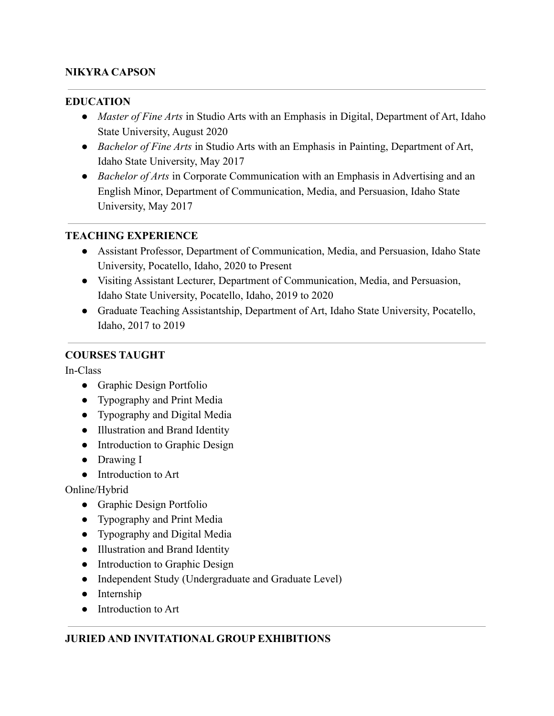### **NIKYRA CAPSON**

#### **EDUCATION**

- *Master of Fine Arts* in Studio Arts with an Emphasis in Digital, Department of Art, Idaho State University, August 2020
- *Bachelor of Fine Arts* in Studio Arts with an Emphasis in Painting, Department of Art, Idaho State University, May 2017
- *Bachelor of Arts* in Corporate Communication with an Emphasis in Advertising and an English Minor, Department of Communication, Media, and Persuasion, Idaho State University, May 2017

#### **TEACHING EXPERIENCE**

- Assistant Professor, Department of Communication, Media, and Persuasion, Idaho State University, Pocatello, Idaho, 2020 to Present
- Visiting Assistant Lecturer, Department of Communication, Media, and Persuasion, Idaho State University, Pocatello, Idaho, 2019 to 2020
- Graduate Teaching Assistantship, Department of Art, Idaho State University, Pocatello, Idaho, 2017 to 2019

#### **COURSES TAUGHT**

In-Class

- Graphic Design Portfolio
- Typography and Print Media
- Typography and Digital Media
- Illustration and Brand Identity
- Introduction to Graphic Design
- Drawing I
- Introduction to Art

Online/Hybrid

- Graphic Design Portfolio
- Typography and Print Media
- Typography and Digital Media
- Illustration and Brand Identity
- Introduction to Graphic Design
- Independent Study (Undergraduate and Graduate Level)
- Internship
- Introduction to Art

#### **JURIED AND INVITATIONAL GROUP EXHIBITIONS**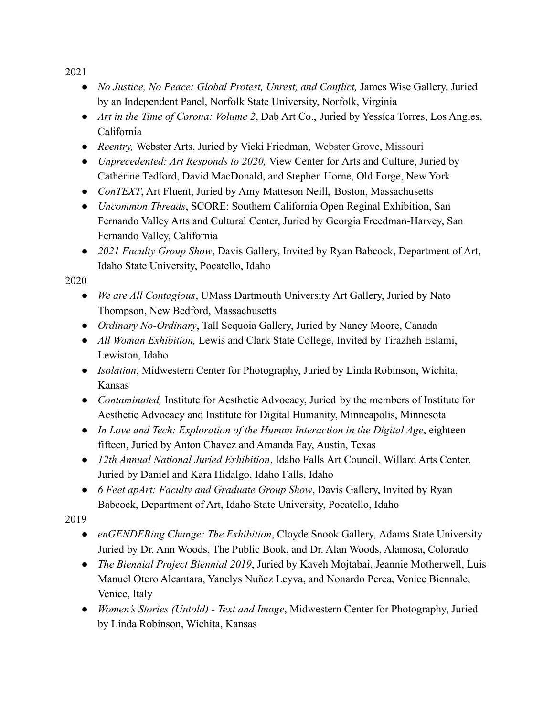2021

- *No Justice, No Peace: Global Protest, Unrest, and Conflict,* James Wise Gallery, Juried by an Independent Panel, Norfolk State University, Norfolk, Virginia
- *Art in the Time of Corona: Volume 2*, Dab Art Co., Juried by Yessíca Torres, Los Angles, California
- *Reentry, Webster Arts, Juried by Vicki Friedman, Webster Grove, Missouri*
- *Unprecedented: Art Responds to 2020,* View Center for Arts and Culture, Juried by Catherine Tedford, David MacDonald, and Stephen Horne, Old Forge, New York
- *ConTEXT*, Art Fluent, Juried by Amy Matteson Neill, Boston, Massachusetts
- *Uncommon Threads*, SCORE: Southern California Open Reginal Exhibition, San Fernando Valley Arts and Cultural Center, Juried by Georgia Freedman-Harvey, San Fernando Valley, California
- *2021 Faculty Group Show*, Davis Gallery, Invited by Ryan Babcock, Department of Art, Idaho State University, Pocatello, Idaho

2020

- *We are All Contagious*, UMass Dartmouth University Art Gallery, Juried by Nato Thompson, New Bedford, Massachusetts
- *Ordinary No-Ordinary*, Tall Sequoia Gallery, Juried by Nancy Moore, Canada
- *All Woman Exhibition,* Lewis and Clark State College, Invited by Tirazheh Eslami, Lewiston, Idaho
- *Isolation*, Midwestern Center for Photography, Juried by Linda Robinson, Wichita, Kansas
- *Contaminated,* Institute for Aesthetic Advocacy, Juried by the members of Institute for Aesthetic Advocacy and Institute for Digital Humanity, Minneapolis, Minnesota
- *In Love and Tech: Exploration of the Human Interaction in the Digital Age*, eighteen fifteen, Juried by Anton Chavez and Amanda Fay, Austin, Texas
- *12th Annual National Juried Exhibition*, Idaho Falls Art Council, Willard Arts Center, Juried by Daniel and Kara Hidalgo, Idaho Falls, Idaho
- *6 Feet apArt: Faculty and Graduate Group Show*, Davis Gallery, Invited by Ryan Babcock, Department of Art, Idaho State University, Pocatello, Idaho

2019

- *enGENDERing Change: The Exhibition*, Cloyde Snook Gallery, Adams State University Juried by Dr. Ann Woods, The Public Book, and Dr. Alan Woods, Alamosa, Colorado
- *The Biennial Project Biennial 2019*, Juried by Kaveh Mojtabai, Jeannie Motherwell, Luis Manuel Otero Alcantara, Yanelys Nuñez Leyva, and Nonardo Perea, Venice Biennale, Venice, Italy
- *Women's Stories (Untold) Text and Image*, Midwestern Center for Photography, Juried by Linda Robinson, Wichita, Kansas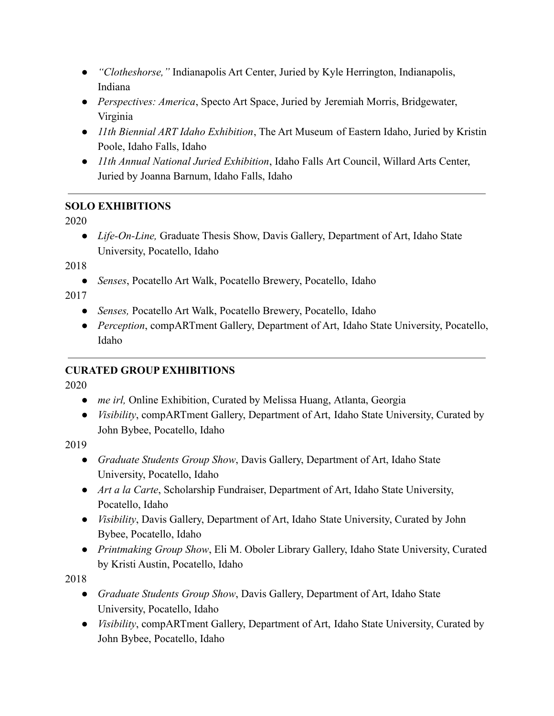- *"Clotheshorse,"* Indianapolis Art Center, Juried by Kyle Herrington, Indianapolis, Indiana
- *Perspectives: America*, Specto Art Space, Juried by Jeremiah Morris, Bridgewater, Virginia
- *11th Biennial ART Idaho Exhibition*, The Art Museum of Eastern Idaho, Juried by Kristin Poole, Idaho Falls, Idaho
- *11th Annual National Juried Exhibition*, Idaho Falls Art Council, Willard Arts Center, Juried by Joanna Barnum, Idaho Falls, Idaho

## **SOLO EXHIBITIONS**

2020

● *Life-On-Line*, Graduate Thesis Show, Davis Gallery, Department of Art, Idaho State University, Pocatello, Idaho

2018

● *Senses*, Pocatello Art Walk, Pocatello Brewery, Pocatello, Idaho

2017

- *Senses,* Pocatello Art Walk, Pocatello Brewery, Pocatello, Idaho
- *Perception*, compARTment Gallery, Department of Art, Idaho State University, Pocatello, Idaho

# **CURATED GROUP EXHIBITIONS**

2020

- *me irl*, Online Exhibition, Curated by Melissa Huang, Atlanta, Georgia
- *Visibility*, compARTment Gallery, Department of Art, Idaho State University, Curated by John Bybee, Pocatello, Idaho

2019

- *Graduate Students Group Show*, Davis Gallery, Department of Art, Idaho State University, Pocatello, Idaho
- *Art a la Carte*, Scholarship Fundraiser, Department of Art, Idaho State University, Pocatello, Idaho
- *Visibility*, Davis Gallery, Department of Art, Idaho State University, Curated by John Bybee, Pocatello, Idaho
- *Printmaking Group Show*, Eli M. Oboler Library Gallery, Idaho State University, Curated by Kristi Austin, Pocatello, Idaho

2018

- *Graduate Students Group Show*, Davis Gallery, Department of Art, Idaho State University, Pocatello, Idaho
- *Visibility*, compARTment Gallery, Department of Art, Idaho State University, Curated by John Bybee, Pocatello, Idaho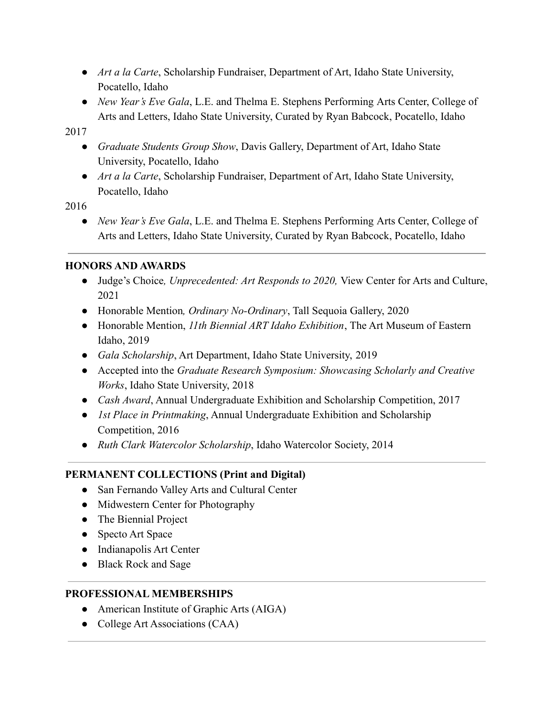- *Art a la Carte*, Scholarship Fundraiser, Department of Art, Idaho State University, Pocatello, Idaho
- *New Year's Eve Gala*, L.E. and Thelma E. Stephens Performing Arts Center, College of Arts and Letters, Idaho State University, Curated by Ryan Babcock, Pocatello, Idaho

2017

- *Graduate Students Group Show*, Davis Gallery, Department of Art, Idaho State University, Pocatello, Idaho
- *Art a la Carte*, Scholarship Fundraiser, Department of Art, Idaho State University, Pocatello, Idaho

2016

● *New Year's Eve Gala*, L.E. and Thelma E. Stephens Performing Arts Center, College of Arts and Letters, Idaho State University, Curated by Ryan Babcock, Pocatello, Idaho

### **HONORS AND AWARDS**

- Judge's Choice*, Unprecedented: Art Responds to 2020,* View Center for Arts and Culture, 2021
- Honorable Mention*, Ordinary No-Ordinary*, Tall Sequoia Gallery, 2020
- Honorable Mention, *11th Biennial ART Idaho Exhibition*, The Art Museum of Eastern Idaho, 2019
- *Gala Scholarship*, Art Department, Idaho State University, 2019
- Accepted into the *Graduate Research Symposium: Showcasing Scholarly and Creative Works*, Idaho State University, 2018
- *Cash Award*, Annual Undergraduate Exhibition and Scholarship Competition, 2017
- *1st Place in Printmaking*, Annual Undergraduate Exhibition and Scholarship Competition, 2016
- *Ruth Clark Watercolor Scholarship*, Idaho Watercolor Society, 2014

# **PERMANENT COLLECTIONS (Print and Digital)**

- San Fernando Valley Arts and Cultural Center
- Midwestern Center for Photography
- The Biennial Project
- Specto Art Space
- Indianapolis Art Center
- Black Rock and Sage

### **PROFESSIONAL MEMBERSHIPS**

- American Institute of Graphic Arts (AIGA)
- College Art Associations (CAA)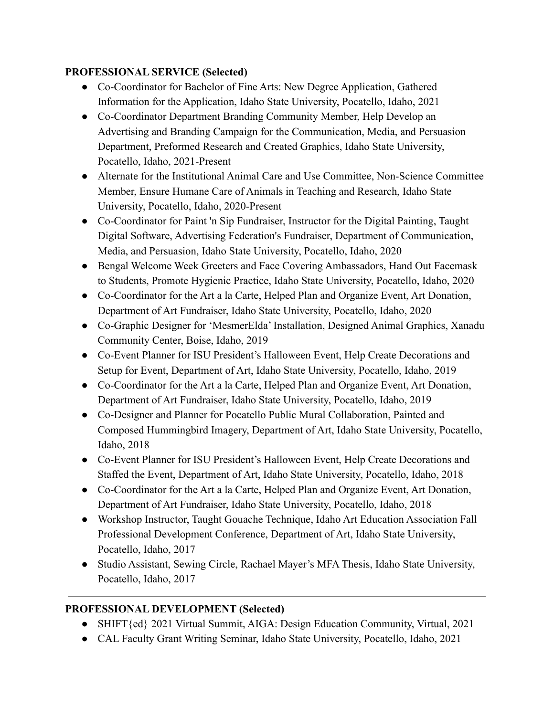### **PROFESSIONAL SERVICE (Selected)**

- Co-Coordinator for Bachelor of Fine Arts: New Degree Application, Gathered Information for the Application, Idaho State University, Pocatello, Idaho, 2021
- Co-Coordinator Department Branding Community Member, Help Develop an Advertising and Branding Campaign for the Communication, Media, and Persuasion Department, Preformed Research and Created Graphics, Idaho State University, Pocatello, Idaho, 2021-Present
- Alternate for the Institutional Animal Care and Use Committee, Non-Science Committee Member, Ensure Humane Care of Animals in Teaching and Research, Idaho State University, Pocatello, Idaho, 2020-Present
- Co-Coordinator for Paint 'n Sip Fundraiser, Instructor for the Digital Painting, Taught Digital Software, Advertising Federation's Fundraiser, Department of Communication, Media, and Persuasion, Idaho State University, Pocatello, Idaho, 2020
- Bengal Welcome Week Greeters and Face Covering Ambassadors, Hand Out Facemask to Students, Promote Hygienic Practice, Idaho State University, Pocatello, Idaho, 2020
- Co-Coordinator for the Art a la Carte, Helped Plan and Organize Event, Art Donation, Department of Art Fundraiser, Idaho State University, Pocatello, Idaho, 2020
- Co-Graphic Designer for 'MesmerElda' Installation, Designed Animal Graphics, Xanadu Community Center, Boise, Idaho, 2019
- Co-Event Planner for ISU President's Halloween Event, Help Create Decorations and Setup for Event, Department of Art, Idaho State University, Pocatello, Idaho, 2019
- Co-Coordinator for the Art a la Carte, Helped Plan and Organize Event, Art Donation, Department of Art Fundraiser, Idaho State University, Pocatello, Idaho, 2019
- Co-Designer and Planner for Pocatello Public Mural Collaboration, Painted and Composed Hummingbird Imagery, Department of Art, Idaho State University, Pocatello, Idaho, 2018
- Co-Event Planner for ISU President's Halloween Event, Help Create Decorations and Staffed the Event, Department of Art, Idaho State University, Pocatello, Idaho, 2018
- Co-Coordinator for the Art a la Carte, Helped Plan and Organize Event, Art Donation, Department of Art Fundraiser, Idaho State University, Pocatello, Idaho, 2018
- Workshop Instructor, Taught Gouache Technique, Idaho Art Education Association Fall Professional Development Conference, Department of Art, Idaho State University, Pocatello, Idaho, 2017
- Studio Assistant, Sewing Circle, Rachael Mayer's MFA Thesis, Idaho State University, Pocatello, Idaho, 2017

# **PROFESSIONAL DEVELOPMENT (Selected)**

- SHIFT{ed} 2021 Virtual Summit, AIGA: Design Education Community, Virtual, 2021
- CAL Faculty Grant Writing Seminar, Idaho State University, Pocatello, Idaho, 2021